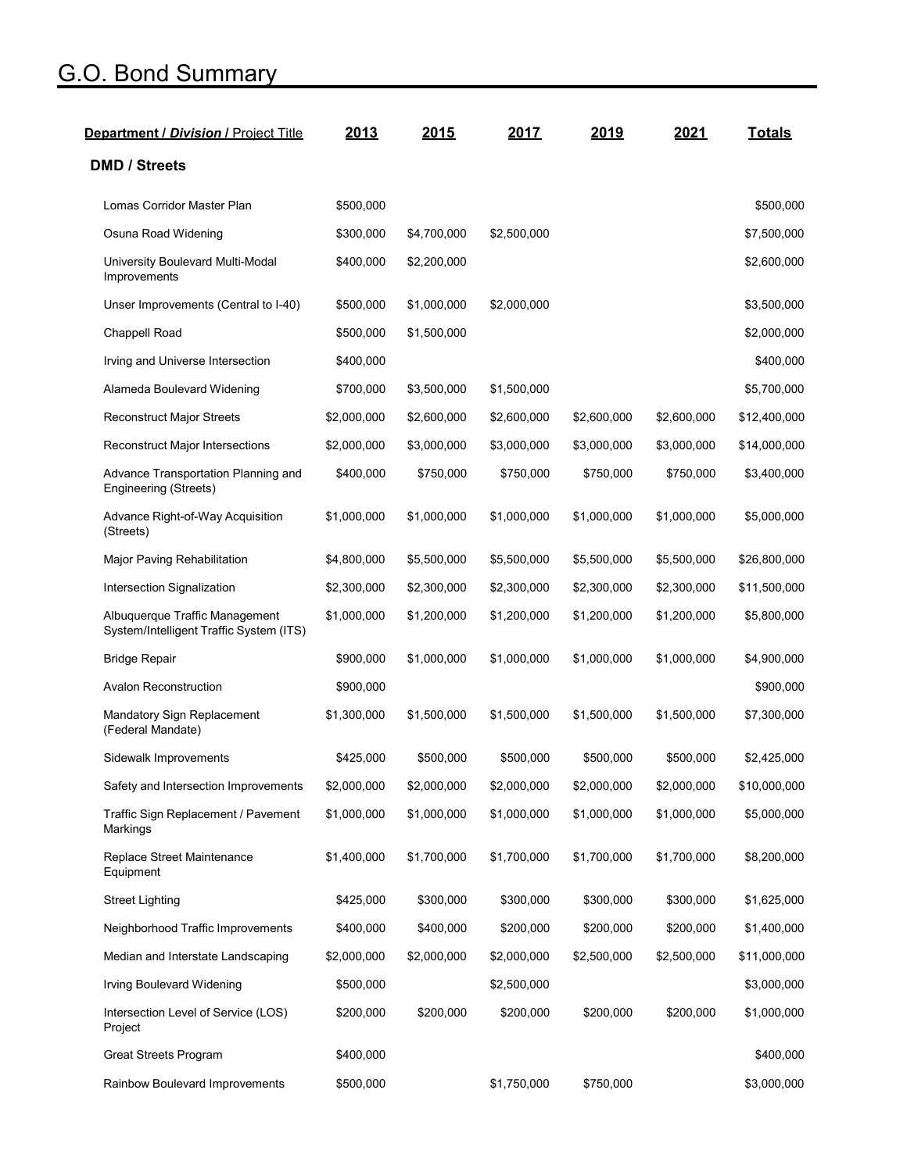## G.O. Bond Summary

| Department / Division / Project Title                                     | 2013        | 2015        | 2017        | 2019        | 2021        | <b>Totals</b> |
|---------------------------------------------------------------------------|-------------|-------------|-------------|-------------|-------------|---------------|
| <b>DMD / Streets</b>                                                      |             |             |             |             |             |               |
| Lomas Corridor Master Plan                                                | \$500,000   |             |             |             |             | \$500,000     |
| Osuna Road Widening                                                       | \$300,000   | \$4,700,000 | \$2,500,000 |             |             | \$7,500,000   |
| University Boulevard Multi-Modal<br>Improvements                          | \$400,000   | \$2,200,000 |             |             |             | \$2,600,000   |
| Unser Improvements (Central to I-40)                                      | \$500,000   | \$1,000,000 | \$2,000,000 |             |             | \$3,500,000   |
| Chappell Road                                                             | \$500,000   | \$1,500,000 |             |             |             | \$2,000,000   |
| Irving and Universe Intersection                                          | \$400,000   |             |             |             |             | \$400,000     |
| Alameda Boulevard Widening                                                | \$700,000   | \$3,500,000 | \$1,500,000 |             |             | \$5,700,000   |
| <b>Reconstruct Major Streets</b>                                          | \$2,000,000 | \$2,600,000 | \$2,600,000 | \$2,600,000 | \$2,600,000 | \$12,400,000  |
| <b>Reconstruct Major Intersections</b>                                    | \$2,000,000 | \$3,000,000 | \$3,000,000 | \$3,000,000 | \$3,000,000 | \$14,000,000  |
| Advance Transportation Planning and<br>Engineering (Streets)              | \$400,000   | \$750,000   | \$750,000   | \$750,000   | \$750,000   | \$3,400,000   |
| Advance Right-of-Way Acquisition<br>(Streets)                             | \$1,000,000 | \$1,000,000 | \$1,000,000 | \$1,000,000 | \$1,000,000 | \$5,000,000   |
| Major Paving Rehabilitation                                               | \$4,800,000 | \$5,500,000 | \$5,500,000 | \$5,500,000 | \$5,500,000 | \$26,800,000  |
| Intersection Signalization                                                | \$2,300,000 | \$2,300,000 | \$2,300,000 | \$2,300,000 | \$2,300,000 | \$11,500,000  |
| Albuquerque Traffic Management<br>System/Intelligent Traffic System (ITS) | \$1,000,000 | \$1,200,000 | \$1,200,000 | \$1,200,000 | \$1,200,000 | \$5,800,000   |
| <b>Bridge Repair</b>                                                      | \$900,000   | \$1,000,000 | \$1,000,000 | \$1,000,000 | \$1,000,000 | \$4,900,000   |
| <b>Avalon Reconstruction</b>                                              | \$900,000   |             |             |             |             | \$900,000     |
| Mandatory Sign Replacement<br>(Federal Mandate)                           | \$1,300,000 | \$1,500,000 | \$1,500,000 | \$1,500,000 | \$1,500,000 | \$7,300,000   |
| Sidewalk Improvements                                                     | \$425,000   | \$500,000   | \$500,000   | \$500,000   | \$500,000   | \$2,425,000   |
| Safety and Intersection Improvements                                      | \$2,000,000 | \$2,000,000 | \$2,000,000 | \$2,000,000 | \$2,000,000 | \$10,000,000  |
| Traffic Sign Replacement / Pavement<br>Markings                           | \$1,000,000 | \$1,000,000 | \$1,000,000 | \$1,000,000 | \$1,000,000 | \$5,000,000   |
| Replace Street Maintenance<br>Equipment                                   | \$1,400,000 | \$1,700,000 | \$1,700,000 | \$1,700,000 | \$1,700,000 | \$8,200,000   |
| <b>Street Lighting</b>                                                    | \$425,000   | \$300,000   | \$300,000   | \$300,000   | \$300,000   | \$1,625,000   |
| Neighborhood Traffic Improvements                                         | \$400,000   | \$400,000   | \$200,000   | \$200,000   | \$200,000   | \$1,400,000   |
| Median and Interstate Landscaping                                         | \$2,000,000 | \$2,000,000 | \$2,000,000 | \$2,500,000 | \$2,500,000 | \$11,000,000  |
| Irving Boulevard Widening                                                 | \$500,000   |             | \$2,500,000 |             |             | \$3,000,000   |
| Intersection Level of Service (LOS)<br>Project                            | \$200,000   | \$200,000   | \$200,000   | \$200,000   | \$200,000   | \$1,000,000   |
| Great Streets Program                                                     | \$400,000   |             |             |             |             | \$400,000     |
| Rainbow Boulevard Improvements                                            | \$500,000   |             | \$1,750,000 | \$750,000   |             | \$3,000,000   |